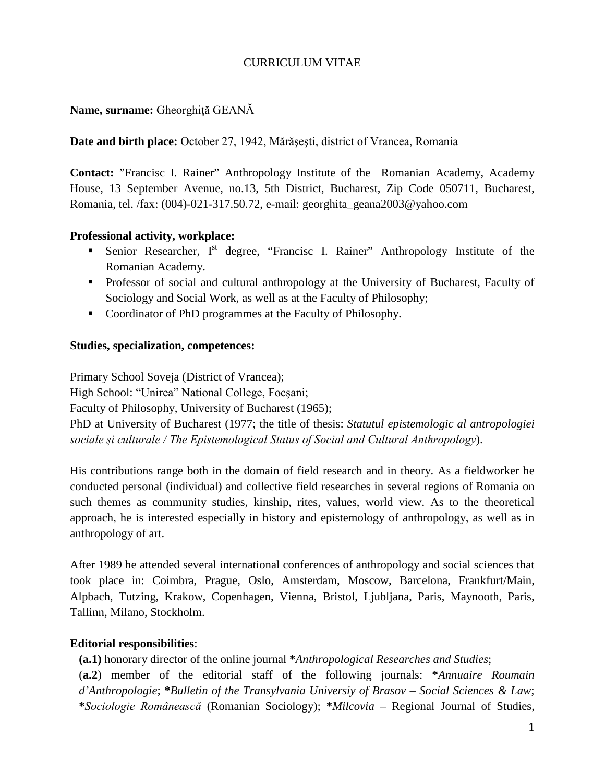# CURRICULUM VITAE

# **Name, surname:** Gheorghiţă GEANĂ

**Date and birth place:** October 27, 1942, Mărăşeşti, district of Vrancea, Romania

**Contact:** "Francisc I. Rainer" Anthropology Institute of the Romanian Academy, Academy House, 13 September Avenue, no.13, 5th District, Bucharest, Zip Code 050711, Bucharest, Romania, tel. /fax: (004)-021-317.50.72, e-mail: [georghita\\_geana2003@yahoo.com](mailto:georghita_geana2003@yahoo.com)

#### **Professional activity, workplace:**

- Senior Researcher,  $I<sup>st</sup>$  degree, "Francisc I. Rainer" Anthropology Institute of the Romanian Academy.
- Professor of social and cultural anthropology at the University of Bucharest, Faculty of Sociology and Social Work, as well as at the Faculty of Philosophy;
- Coordinator of PhD programmes at the Faculty of Philosophy.

#### **Studies, specialization, competences:**

Primary School Soveja (District of Vrancea); High School: "Unirea" National College, Focşani; Faculty of Philosophy, University of Bucharest (1965); PhD at University of Bucharest (1977; the title of thesis: *Statutul epistemologic al antropologiei sociale şi culturale / The Epistemological Status of Social and Cultural Anthropology*).

His contributions range both in the domain of field research and in theory. As a fieldworker he conducted personal (individual) and collective field researches in several regions of Romania on such themes as community studies, kinship, rites, values, world view. As to the theoretical approach, he is interested especially in history and epistemology of anthropology, as well as in anthropology of art.

After 1989 he attended several international conferences of anthropology and social sciences that took place in: Coimbra, Prague, Oslo, Amsterdam, Moscow, Barcelona, Frankfurt/Main, Alpbach, Tutzing, Krakow, Copenhagen, Vienna, Bristol, Ljubljana, Paris, Maynooth, Paris, Tallinn, Milano, Stockholm.

## **Editorial responsibilities**:

 **(a.1)** honorary director of the online journal **\****Anthropological Researches and Studies*; (**a.2**) member of the editorial staff of the following journals: **\****Annuaire Roumain d'Anthropologie*; **\****Bulletin of the Transylvania Universiy of Brasov – Social Sciences & Law*; **\****Sociologie Românească* (Romanian Sociology); **\****Milcovia* – Regional Journal of Studies,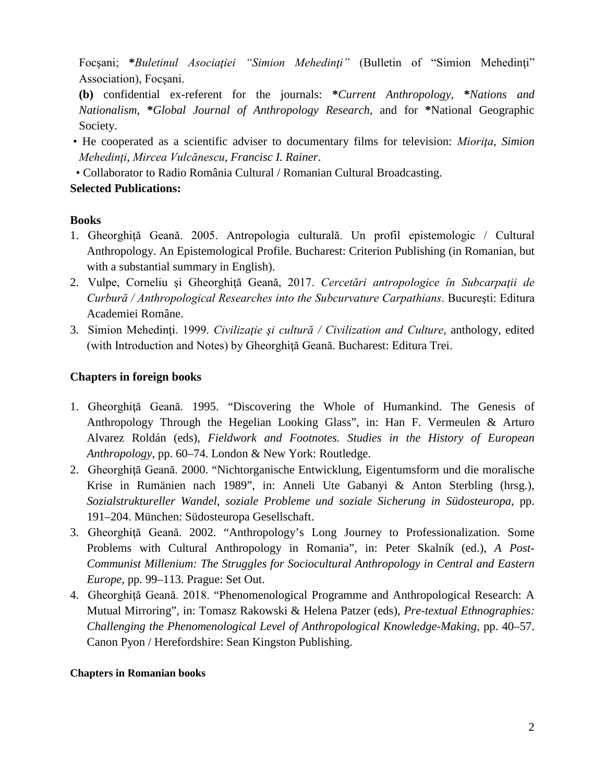Focşani; **\****Buletinul Asociaţiei "Simion Mehedinţi"* (Bulletin of "Simion Mehedinţi" Association), Focşani.

 **(b)** confidential ex-referent for the journals: **\****Current Anthropology*, **\****Nations and Nationalism*, **\****Global Journal of Anthropology Research*, and for **\***National Geographic Society.

- He cooperated as a scientific adviser to documentary films for television: *Mioriţa*, *Simion Mehedinţi*, *Mircea Vulcănescu*, *Francisc I. Rainer*.
- Collaborator to Radio România Cultural / Romanian Cultural Broadcasting.

## **Selected Publications:**

## **Books**

- 1. Gheorghiţă Geană. 2005. Antropologia culturală. Un profil epistemologic / Cultural Anthropology. An Epistemological Profile. Bucharest: Criterion Publishing (in Romanian, but with a substantial summary in English).
- 2. Vulpe, Corneliu şi Gheorghiţă Geană, 2017. *Cercetări antropologice în Subcarpaţii de Curbură / Anthropological Researches into the Subcurvature Carpathians*. Bucureşti: Editura Academiei Române.
- 3. Simion Mehedinţi. 1999. *Civilizaţie şi cultură / Civilization and Culture*, anthology, edited (with Introduction and Notes) by Gheorghiţă Geană. Bucharest: Editura Trei.

# **Chapters in foreign books**

- 1. Gheorghiţă Geană. 1995. "Discovering the Whole of Humankind. The Genesis of Anthropology Through the Hegelian Looking Glass", in: Han F. Vermeulen & Arturo Alvarez Roldán (eds), *Fieldwork and Footnotes. Studies in the History of European Anthropology*, pp. 60–74. London & New York: Routledge.
- 2. Gheorghiţă Geană. 2000. "Nichtorganische Entwicklung, Eigentumsform und die moralische Krise in Rumänien nach 1989", in: Anneli Ute Gabanyi & Anton Sterbling (hrsg.), *Sozialstruktureller Wandel, soziale Probleme und soziale Sicherung in Südosteuropa*, pp. 191–204. München: Südosteuropa Gesellschaft.
- 3. Gheorghiţă Geană. 2002. "Anthropology's Long Journey to Professionalization. Some Problems with Cultural Anthropology in Romania", in: Peter Skalník (ed.), *A Post-Communist Millenium: The Struggles for Sociocultural Anthropology in Central and Eastern Europe*, pp. 99–113. Prague: Set Out.
- 4. Gheorghiţă Geană. 2018. "Phenomenological Programme and Anthropological Research: A Mutual Mirroring", in: Tomasz Rakowski & Helena Patzer (eds), *Pre-textual Ethnographies: Challenging the Phenomenological Level of Anthropological Knowledge-Making*, pp. 40–57. Canon Pyon / Herefordshire: Sean Kingston Publishing.

#### **Chapters in Romanian books**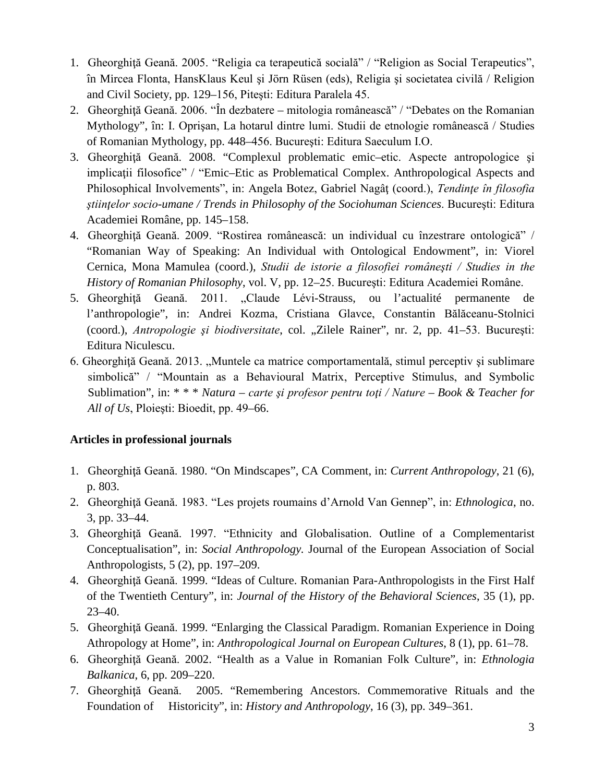- 1. Gheorghiţă Geană. 2005. "Religia ca terapeutică socială" / "Religion as Social Terapeutics", în Mircea Flonta, HansKlaus Keul şi Jörn Rüsen (eds), Religia şi societatea civilă / Religion and Civil Society, pp. 129–156, Piteşti: Editura Paralela 45.
- 2. Gheorghiţă Geană. 2006. "În dezbatere mitologia românească" / "Debates on the Romanian Mythology", în: I. Oprişan, La hotarul dintre lumi. Studii de etnologie românească / Studies of Romanian Mythology, pp. 448–456. Bucureşti: Editura Saeculum I.O.
- 3. Gheorghiţă Geană. 2008. "Complexul problematic emic–etic. Aspecte antropologice şi implicaţii filosofice" / "Emic–Etic as Problematical Complex. Anthropological Aspects and Philosophical Involvements", in: Angela Botez, Gabriel Nagâţ (coord.), *Tendinţe în filosofia ştiinţelor socio-umane / Trends in Philosophy of the Sociohuman Sciences*. Bucureşti: Editura Academiei Române, pp. 145–158.
- 4. Gheorghiţă Geană. 2009. "Rostirea românească: un individual cu înzestrare ontologică" / "Romanian Way of Speaking: An Individual with Ontological Endowment", in: Viorel Cernica, Mona Mamulea (coord.), *Studii de istorie a filosofiei româneşti / Studies in the History of Romanian Philosophy*, vol. V, pp. 12–25. Bucureşti: Editura Academiei Române.
- 5. Gheorghiţă Geană. 2011. "Claude Lévi-Strauss, ou l'actualité permanente de l'anthropologie", in: Andrei Kozma, Cristiana Glavce, Constantin Bălăceanu-Stolnici (coord.), *Antropologie și biodiversitate*, col. "Zilele Rainer", nr. 2, pp. 41–53. București: Editura Niculescu.
- 6. Gheorghiţă Geană. 2013. "Muntele ca matrice comportamentală, stimul perceptiv şi sublimare simbolică" / "Mountain as a Behavioural Matrix, Perceptive Stimulus, and Symbolic Sublimation", in: \* \* \* *Natura – carte şi profesor pentru toţi / Nature – Book & Teacher for All of Us*, Ploieşti: Bioedit, pp. 49–66.

## **Articles in professional journals**

- 1. Gheorghiţă Geană. 1980. "On Mindscapes", CA Comment, in: *Current Anthropology*, 21 (6), p. 803.
- 2. Gheorghiţă Geană. 1983. "Les projets roumains d'Arnold Van Gennep", in: *Ethnologica*, no. 3, pp. 33–44.
- 3. Gheorghiţă Geană. 1997. "Ethnicity and Globalisation. Outline of a Complementarist Conceptualisation", in: *Social Anthropology.* Journal of the European Association of Social Anthropologists, 5 (2), pp. 197–209.
- 4. Gheorghiţă Geană. 1999. "Ideas of Culture. Romanian Para-Anthropologists in the First Half of the Twentieth Century", in: *Journal of the History of the Behavioral Sciences*, 35 (1), pp. 23–40.
- 5. Gheorghiţă Geană. 1999. "Enlarging the Classical Paradigm. Romanian Experience in Doing Athropology at Home", in: *Anthropological Journal on European Cultures*, 8 (1), pp. 61–78.
- 6. Gheorghiţă Geană. 2002. "Health as a Value in Romanian Folk Culture", in: *Ethnologia Balkanica*, 6, pp. 209–220.
- 7. Gheorghiţă Geană. 2005. "Remembering Ancestors. Commemorative Rituals and the Foundation of Historicity", in: *History and Anthropology*, 16 (3), pp. 349–361.